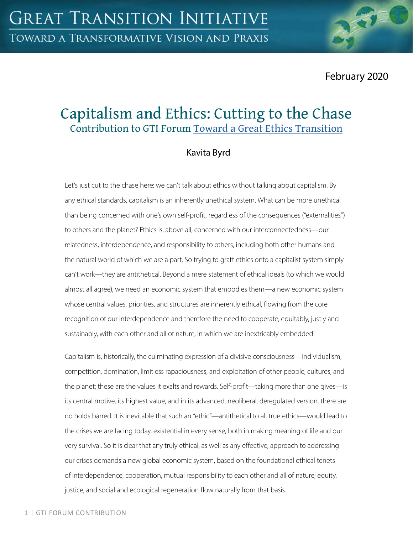February 2020

# Capitalism and Ethics: Cutting to the Chase Contribution to GTI Forum [Toward a Great Ethics Transition](https://greattransition.org/gti-forum/great-ethics-transition)

# Kavita Byrd

Let's just cut to the chase here: we can't talk about ethics without talking about capitalism. By any ethical standards, capitalism is an inherently unethical system. What can be more unethical than being concerned with one's own self-profit, regardless of the consequences ("externalities") to others and the planet? Ethics is, above all, concerned with our interconnectedness—our relatedness, interdependence, and responsibility to others, including both other humans and the natural world of which we are a part. So trying to graft ethics onto a capitalist system simply can't work—they are antithetical. Beyond a mere statement of ethical ideals (to which we would almost all agree), we need an economic system that embodies them—a new economic system whose central values, priorities, and structures are inherently ethical, flowing from the core recognition of our interdependence and therefore the need to cooperate, equitably, justly and sustainably, with each other and all of nature, in which we are inextricably embedded.

Capitalism is, historically, the culminating expression of a divisive consciousness—individualism, competition, domination, limitless rapaciousness, and exploitation of other people, cultures, and the planet; these are the values it exalts and rewards. Self-profit—taking more than one gives—is its central motive, its highest value, and in its advanced, neoliberal, deregulated version, there are no holds barred. It is inevitable that such an "ethic"—antithetical to all true ethics—would lead to the crises we are facing today, existential in every sense, both in making meaning of life and our very survival. So it is clear that any truly ethical, as well as any effective, approach to addressing our crises demands a new global economic system, based on the foundational ethical tenets of interdependence, cooperation, mutual responsibility to each other and all of nature; equity, justice, and social and ecological regeneration flow naturally from that basis.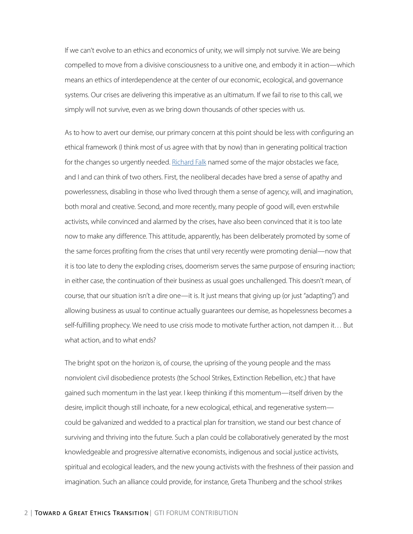If we can't evolve to an ethics and economics of unity, we will simply not survive. We are being compelled to move from a divisive consciousness to a unitive one, and embody it in action—which means an ethics of interdependence at the center of our economic, ecological, and governance systems. Our crises are delivering this imperative as an ultimatum. If we fail to rise to this call, we simply will not survive, even as we bring down thousands of other species with us.

As to how to avert our demise, our primary concern at this point should be less with configuring an ethical framework (I think most of us agree with that by now) than in generating political traction for the changes so urgently needed. [Richard Falk](https://greattransition.org/gti-forum/ethics-transition-falk) named some of the major obstacles we face, and I and can think of two others. First, the neoliberal decades have bred a sense of apathy and powerlessness, disabling in those who lived through them a sense of agency, will, and imagination, both moral and creative. Second, and more recently, many people of good will, even erstwhile activists, while convinced and alarmed by the crises, have also been convinced that it is too late now to make any difference. This attitude, apparently, has been deliberately promoted by some of the same forces profiting from the crises that until very recently were promoting denial—now that it is too late to deny the exploding crises, doomerism serves the same purpose of ensuring inaction; in either case, the continuation of their business as usual goes unchallenged. This doesn't mean, of course, that our situation isn't a dire one—it is. It just means that giving up (or just "adapting") and allowing business as usual to continue actually guarantees our demise, as hopelessness becomes a self-fulfilling prophecy. We need to use crisis mode to motivate further action, not dampen it… But what action, and to what ends?

The bright spot on the horizon is, of course, the uprising of the young people and the mass nonviolent civil disobedience protests (the School Strikes, Extinction Rebellion, etc.) that have gained such momentum in the last year. I keep thinking if this momentum—itself driven by the desire, implicit though still inchoate, for a new ecological, ethical, and regenerative system could be galvanized and wedded to a practical plan for transition, we stand our best chance of surviving and thriving into the future. Such a plan could be collaboratively generated by the most knowledgeable and progressive alternative economists, indigenous and social justice activists, spiritual and ecological leaders, and the new young activists with the freshness of their passion and imagination. Such an alliance could provide, for instance, Greta Thunberg and the school strikes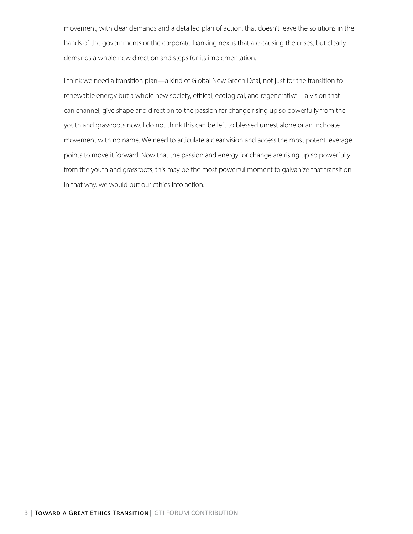movement, with clear demands and a detailed plan of action, that doesn't leave the solutions in the hands of the governments or the corporate-banking nexus that are causing the crises, but clearly demands a whole new direction and steps for its implementation.

I think we need a transition plan—a kind of Global New Green Deal, not just for the transition to renewable energy but a whole new society, ethical, ecological, and regenerative—a vision that can channel, give shape and direction to the passion for change rising up so powerfully from the youth and grassroots now. I do not think this can be left to blessed unrest alone or an inchoate movement with no name. We need to articulate a clear vision and access the most potent leverage points to move it forward. Now that the passion and energy for change are rising up so powerfully from the youth and grassroots, this may be the most powerful moment to galvanize that transition. In that way, we would put our ethics into action.